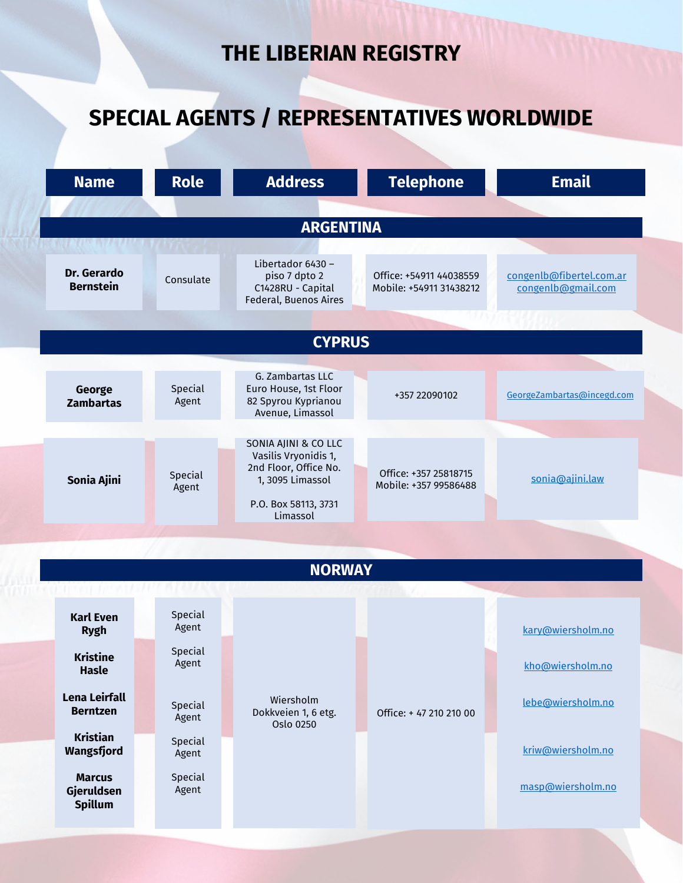## **THE LIBERIAN REGISTRY**

## **SPECIAL AGENTS / REPRESENTATIVES WORLDWIDE**

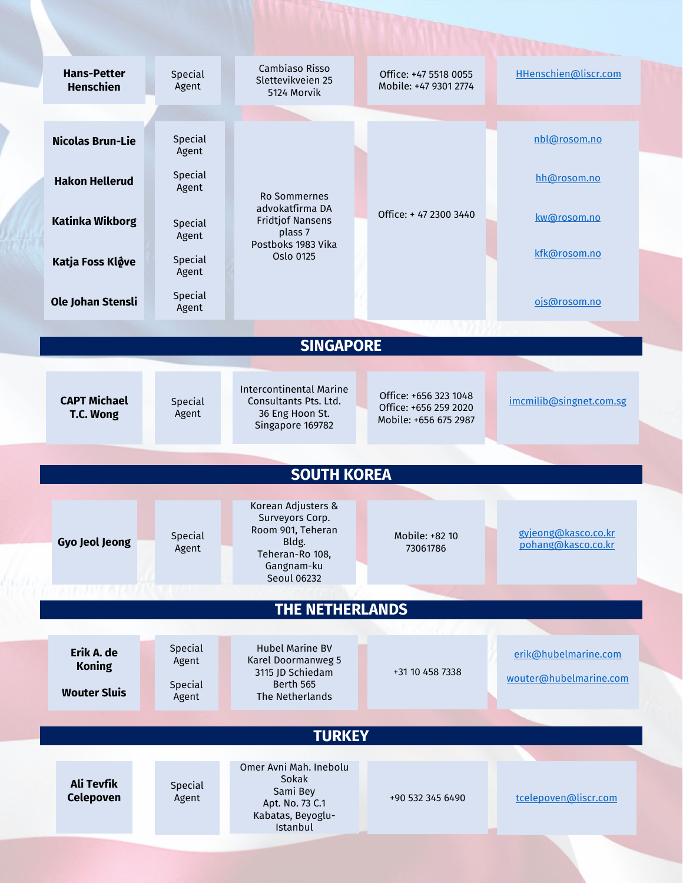